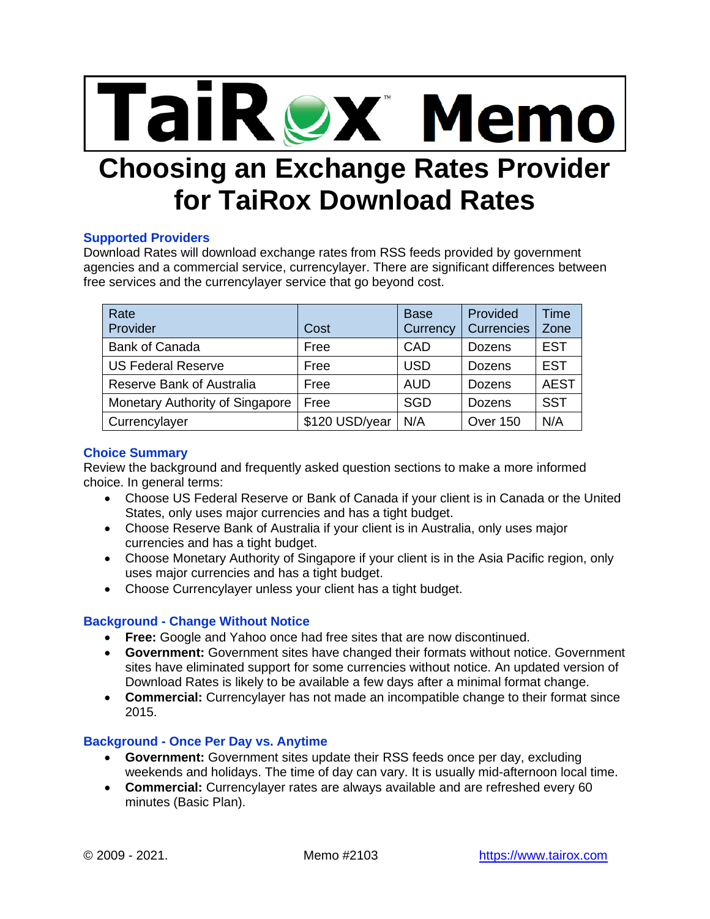

# **Choosing an Exchange Rates Provider for TaiRox Download Rates**

## **Supported Providers**

Download Rates will download exchange rates from RSS feeds provided by government agencies and a commercial service, currencylayer. There are significant differences between free services and the currencylayer service that go beyond cost.

| Rate<br>Provider                 | Cost           | <b>Base</b><br>Currency | Provided<br>Currencies | Time<br>Zone |
|----------------------------------|----------------|-------------------------|------------------------|--------------|
| <b>Bank of Canada</b>            | Free           | CAD                     | Dozens                 | <b>EST</b>   |
| <b>US Federal Reserve</b>        | Free           | <b>USD</b>              | Dozens                 | <b>EST</b>   |
| <b>Reserve Bank of Australia</b> | Free           | <b>AUD</b>              | Dozens                 | <b>AEST</b>  |
| Monetary Authority of Singapore  | Free           | <b>SGD</b>              | <b>Dozens</b>          | <b>SST</b>   |
| Currencylayer                    | \$120 USD/year | N/A                     | Over 150               | N/A          |

# **Choice Summary**

Review the background and frequently asked question sections to make a more informed choice. In general terms:

- Choose US Federal Reserve or Bank of Canada if your client is in Canada or the United States, only uses major currencies and has a tight budget.
- Choose Reserve Bank of Australia if your client is in Australia, only uses major currencies and has a tight budget.
- Choose Monetary Authority of Singapore if your client is in the Asia Pacific region, only uses major currencies and has a tight budget.
- Choose Currencylayer unless your client has a tight budget.

# **Background - Change Without Notice**

- **Free:** Google and Yahoo once had free sites that are now discontinued.
- **Government:** Government sites have changed their formats without notice. Government sites have eliminated support for some currencies without notice. An updated version of Download Rates is likely to be available a few days after a minimal format change.
- **Commercial:** Currencylayer has not made an incompatible change to their format since 2015.

# **Background - Once Per Day vs. Anytime**

- **Government:** Government sites update their RSS feeds once per day, excluding weekends and holidays. The time of day can vary. It is usually mid-afternoon local time.
- **Commercial:** Currencylayer rates are always available and are refreshed every 60 minutes (Basic Plan).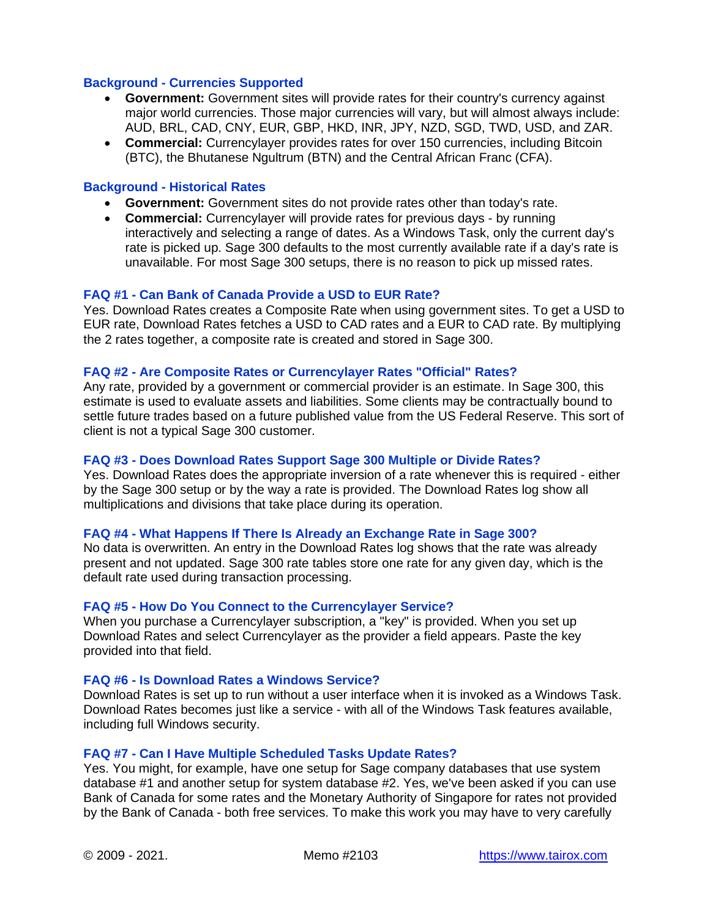## **Background - Currencies Supported**

- **Government:** Government sites will provide rates for their country's currency against major world currencies. Those major currencies will vary, but will almost always include: AUD, BRL, CAD, CNY, EUR, GBP, HKD, INR, JPY, NZD, SGD, TWD, USD, and ZAR.
- **Commercial:** Currencylayer provides rates for over 150 currencies, including Bitcoin (BTC), the Bhutanese Ngultrum (BTN) and the Central African Franc (CFA).

## **Background - Historical Rates**

- **Government:** Government sites do not provide rates other than today's rate.
- **Commercial:** Currencylayer will provide rates for previous days by running interactively and selecting a range of dates. As a Windows Task, only the current day's rate is picked up. Sage 300 defaults to the most currently available rate if a day's rate is unavailable. For most Sage 300 setups, there is no reason to pick up missed rates.

## **FAQ #1 - Can Bank of Canada Provide a USD to EUR Rate?**

Yes. Download Rates creates a Composite Rate when using government sites. To get a USD to EUR rate, Download Rates fetches a USD to CAD rates and a EUR to CAD rate. By multiplying the 2 rates together, a composite rate is created and stored in Sage 300.

## **FAQ #2 - Are Composite Rates or Currencylayer Rates "Official" Rates?**

Any rate, provided by a government or commercial provider is an estimate. In Sage 300, this estimate is used to evaluate assets and liabilities. Some clients may be contractually bound to settle future trades based on a future published value from the US Federal Reserve. This sort of client is not a typical Sage 300 customer.

#### **FAQ #3 - Does Download Rates Support Sage 300 Multiple or Divide Rates?**

Yes. Download Rates does the appropriate inversion of a rate whenever this is required - either by the Sage 300 setup or by the way a rate is provided. The Download Rates log show all multiplications and divisions that take place during its operation.

#### **FAQ #4 - What Happens If There Is Already an Exchange Rate in Sage 300?**

No data is overwritten. An entry in the Download Rates log shows that the rate was already present and not updated. Sage 300 rate tables store one rate for any given day, which is the default rate used during transaction processing.

## **FAQ #5 - How Do You Connect to the Currencylayer Service?**

When you purchase a Currencylayer subscription, a "key" is provided. When you set up Download Rates and select Currencylayer as the provider a field appears. Paste the key provided into that field.

# **FAQ #6 - Is Download Rates a Windows Service?**

Download Rates is set up to run without a user interface when it is invoked as a Windows Task. Download Rates becomes just like a service - with all of the Windows Task features available, including full Windows security.

#### **FAQ #7 - Can I Have Multiple Scheduled Tasks Update Rates?**

Yes. You might, for example, have one setup for Sage company databases that use system database #1 and another setup for system database #2. Yes, we've been asked if you can use Bank of Canada for some rates and the Monetary Authority of Singapore for rates not provided by the Bank of Canada - both free services. To make this work you may have to very carefully